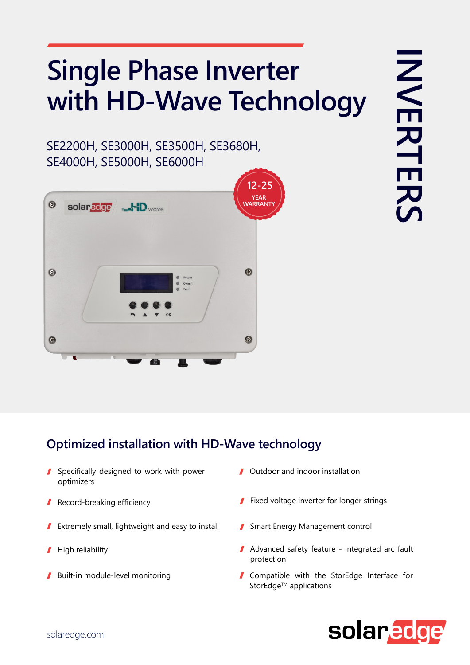## **Single Phase Inverter** with HD-Wave Technology

SE2200H, SE3000H, SE3500H, SE3680H, SE4000H, SE5000H, SE6000H



## **Optimized installation with HD-Wave technology**

- $\blacksquare$  Specifically designed to work with power optimizers
- Record-breaking efficiency I
- Extremely small, lightweight and easy to install 1
- High reliability  $\blacksquare$
- $\blacksquare$  Built-in module-level monitoring
- $\blacksquare$  Outdoor and indoor installation
- $\blacksquare$  Fixed voltage inverter for longer strings
- Smart Energy Management control
- $\blacksquare$  Advanced safety feature integrated arc fault protection
- I Compatible with the StorEdge Interface for StorEdge™ applications